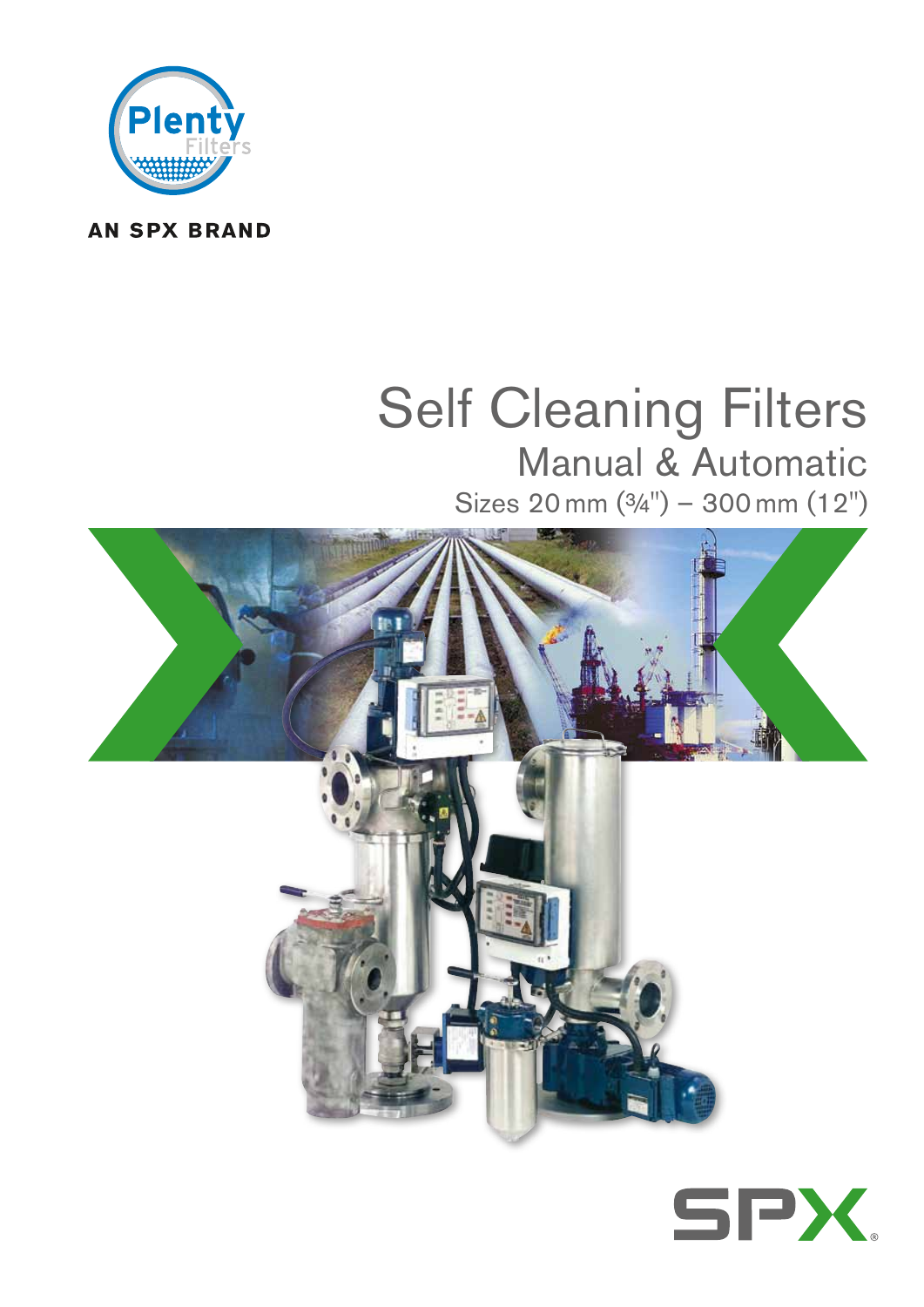

### **AN SPX BRAND**

# Self Cleaning Filters Manual & Automatic

Sizes 20 mm ( $\frac{3}{4}$ ") - 300 mm (12")



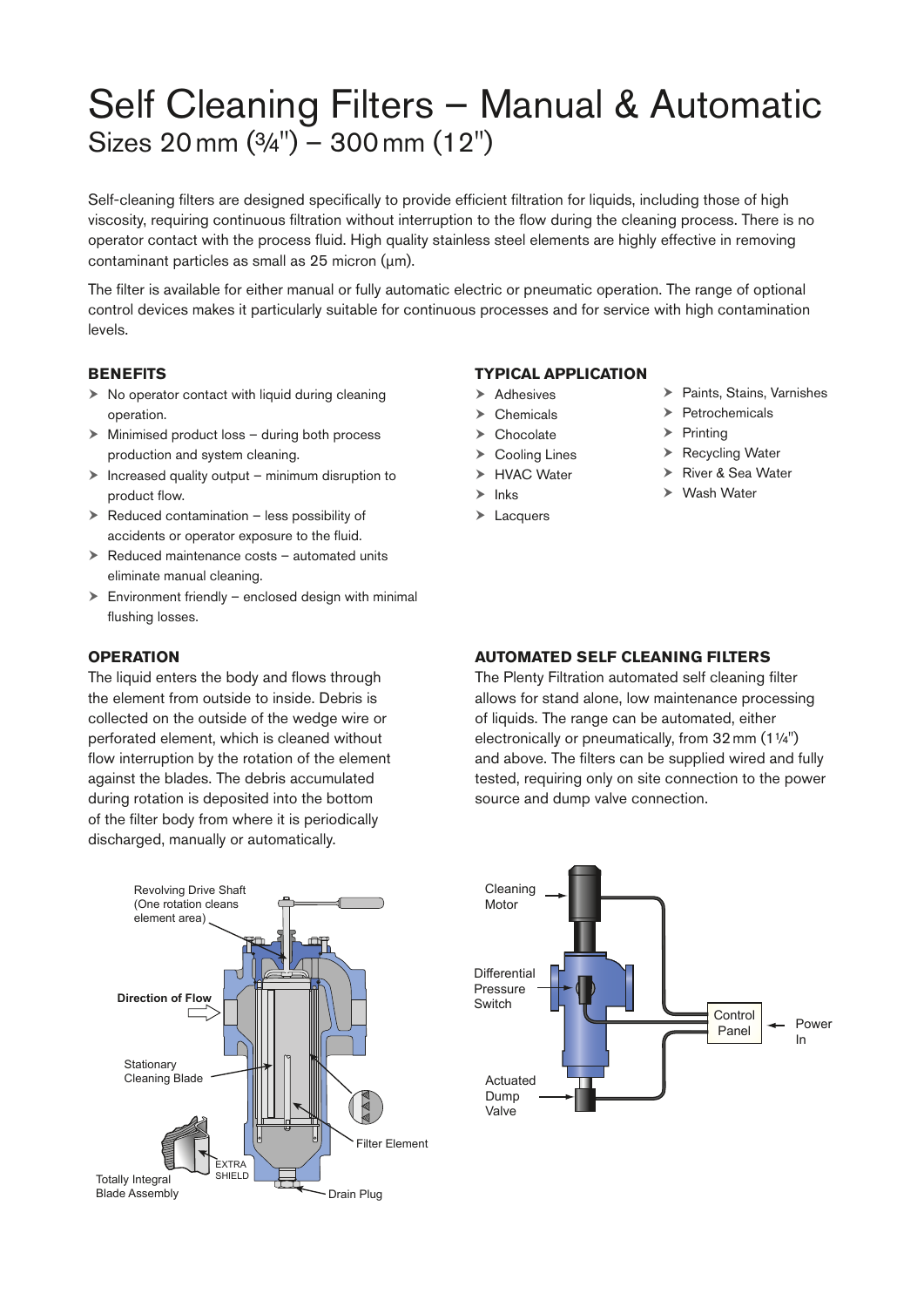## Self Cleaning Filters – Manual & Automatic Sizes 20mm (¾") – 300mm (12")

Self-cleaning filters are designed specifically to provide efficient filtration for liquids, including those of high viscosity, requiring continuous filtration without interruption to the flow during the cleaning process. There is no operator contact with the process fluid. High quality stainless steel elements are highly effective in removing contaminant particles as small as 25 micron (μm).

The filter is available for either manual or fully automatic electric or pneumatic operation. The range of optional control devices makes it particularly suitable for continuous processes and for service with high contamination levels.

#### **BENEFlTS**

- $\triangleright$  No operator contact with liquid during cleaning operation.
- $\triangleright$  Minimised product loss during both process production and system cleaning.
- $\triangleright$  Increased quality output minimum disruption to product flow.
- $\triangleright$  Reduced contamination less possibility of accidents or operator exposure to the fluid.
- $\triangleright$  Reduced maintenance costs automated units eliminate manual cleaning.
- $\triangleright$  Environment friendly enclosed design with minimal flushing losses.

#### **OPERATION**

The liquid enters the body and flows through the element from outside to inside. Debris is collected on the outside of the wedge wire or perforated element, which is cleaned without flow interruption by the rotation of the element against the blades. The debris accumulated during rotation is deposited into the bottom of the filter body from where it is periodically discharged, manually or automatically.



#### **TYPICAL APPLICATION**

- $\blacktriangleright$  Adhesives
- > Chemicals
- > Chocolate
- $\triangleright$  Cooling Lines
- **HVAC Water**
- 
- $\blacktriangleright$  Inks
- > Lacquers
- > Paints, Stains, Varnishes
- $\triangleright$  Petrochemicals
- $\blacktriangleright$  Printing
- ▶ Recycling Water
- ▶ River & Sea Water
- Wash Water

#### **AUTOMATED SELF CLEANING FILTERS**

The Plenty Filtration automated self cleaning filter allows for stand alone, low maintenance processing of liquids. The range can be automated, either electronically or pneumatically, from 32mm (1¼") and above. The filters can be supplied wired and fully tested, requiring only on site connection to the power source and dump valve connection.

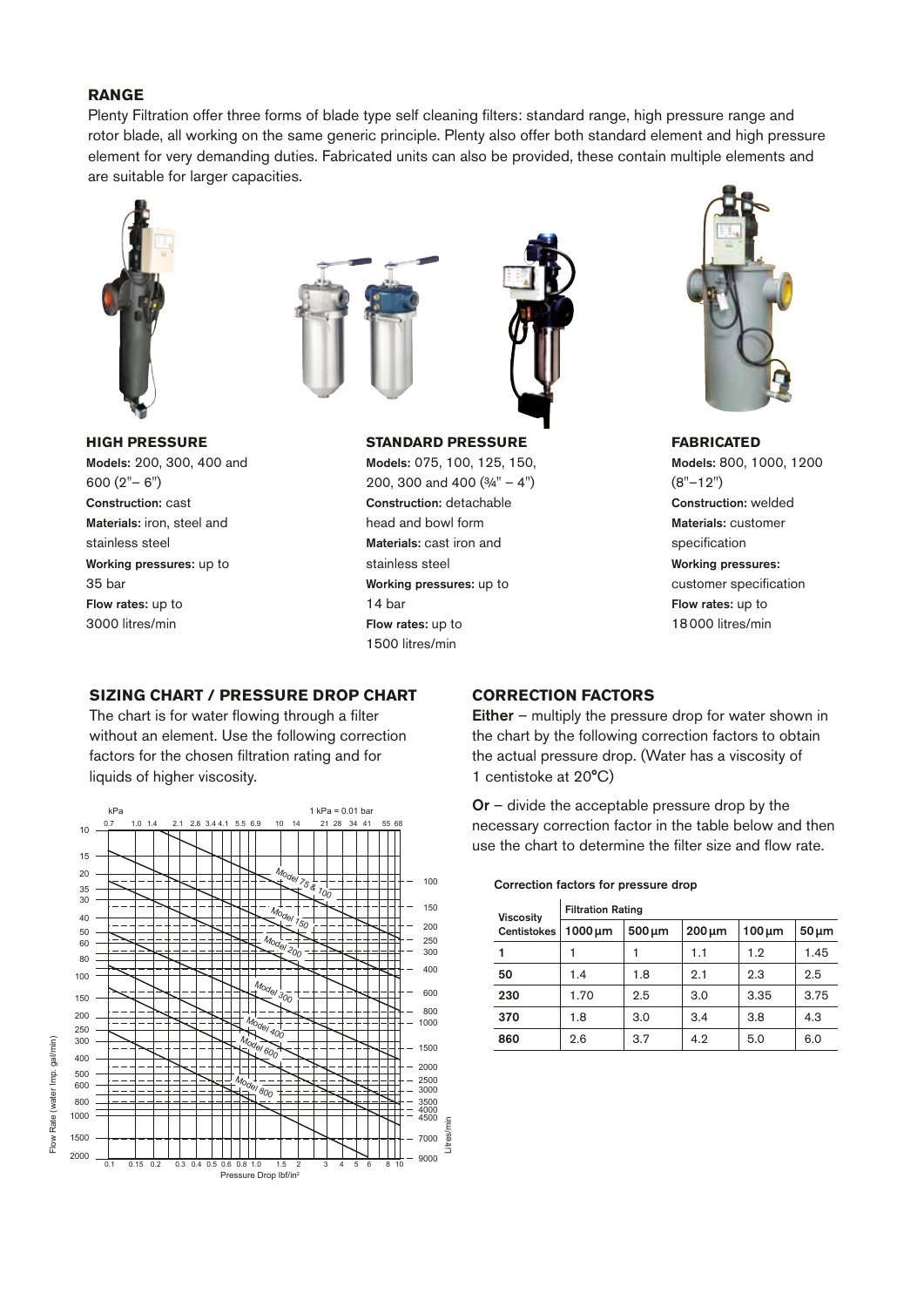#### **RANGE**

Plenty Filtration offer three forms of blade type self cleaning filters: standard range, high pressure range and rotor blade, all working on the same generic principle. Plenty also offer both standard element and high pressure element for very demanding duties. Fabricated units can also be provided, these contain multiple elements and are suitable for larger capacities.



#### **HIGH PRESSURE**

Models: 200, 300, 400 and 600 (2"– 6") Construction: cast Materials: iron, steel and stainless steel Working pressures: up to 35 bar Flow rates: up to 3000 litres/min





#### **STANDARD PRESSURE**

Models: 075, 100, 125, 150, 200, 300 and 400 (¾" – 4") Construction: detachable head and bowl form Materials: cast iron and stainless steel Working pressures: up to 14 bar Flow rates: up to 1500 litres/min



#### **FABRICATED**

Models: 800, 1000, 1200 (8"–12") Construction: welded Materials: customer specification Working pressures: customer specification Flow rates: up to 18000 litres/min

#### **SIZING CHART / PRESSURE DROP CHART**

The chart is for water flowing through a filter without an element. Use the following correction factors for the chosen filtration rating and for liquids of higher viscosity.



#### **CORRECTION FACTORS**

Either – multiply the pressure drop for water shown in the chart by the following correction factors to obtain the actual pressure drop. (Water has a viscosity of 1 centistoke at 20°C)

Or – divide the acceptable pressure drop by the necessary correction factor in the table below and then use the chart to determine the filter size and flow rate.

#### Correction factors for pressure drop

| <b>Viscosity</b><br><b>Centistokes</b> | <b>Filtration Rating</b> |             |             |             |            |
|----------------------------------------|--------------------------|-------------|-------------|-------------|------------|
|                                        | $1000 \mu m$             | $500 \mu m$ | $200 \mu m$ | $100 \mu m$ | $50 \mu m$ |
| 1                                      |                          |             | 1.1         | 1.9         | 1.45       |
| 50                                     | 1.4                      | 1.8         | 9.1         | 2.3         | 2.5        |
| 230                                    | 1.70                     | 2.5         | 3.0         | 3.35        | 3.75       |
| 370                                    | 1.8                      | 3.0         | 3.4         | 3.8         | 4.3        |
| 860                                    | 2.6                      | 3.7         | 4.2         | 5.0         | 6.0        |